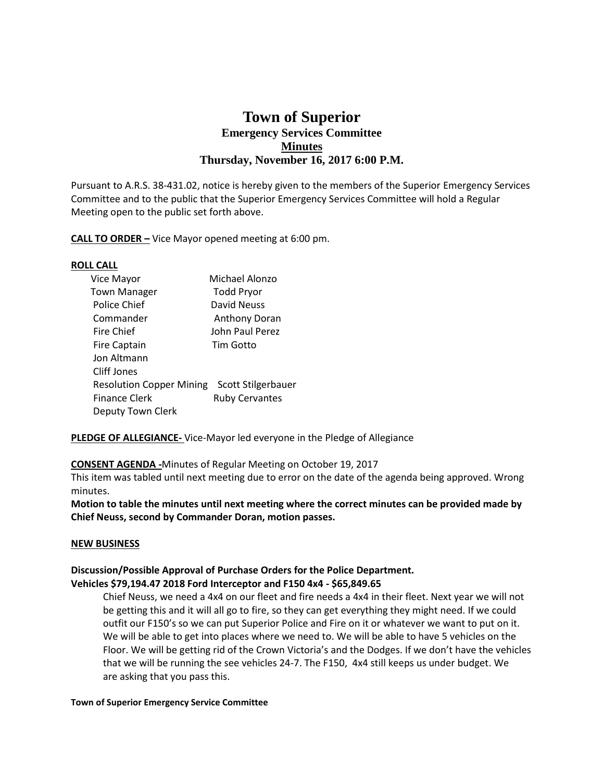# **Town of Superior Emergency Services Committee Minutes Thursday, November 16, 2017 6:00 P.M.**

Pursuant to A.R.S. 38-431.02, notice is hereby given to the members of the Superior Emergency Services Committee and to the public that the Superior Emergency Services Committee will hold a Regular Meeting open to the public set forth above.

**CALL TO ORDER –** Vice Mayor opened meeting at 6:00 pm.

## **ROLL CALL**

| Vice Mayor                                  | Michael Alonzo        |
|---------------------------------------------|-----------------------|
| <b>Town Manager</b>                         | <b>Todd Pryor</b>     |
| Police Chief                                | David Neuss           |
| Commander                                   | <b>Anthony Doran</b>  |
| Fire Chief                                  | John Paul Perez       |
| <b>Fire Captain</b>                         | Tim Gotto             |
| Jon Altmann                                 |                       |
| <b>Cliff Jones</b>                          |                       |
| Resolution Copper Mining Scott Stilgerbauer |                       |
| <b>Finance Clerk</b>                        | <b>Ruby Cervantes</b> |
| Deputy Town Clerk                           |                       |
|                                             |                       |

**PLEDGE OF ALLEGIANCE-** Vice-Mayor led everyone in the Pledge of Allegiance

# **CONSENT AGENDA -**Minutes of Regular Meeting on October 19, 2017

This item was tabled until next meeting due to error on the date of the agenda being approved. Wrong minutes.

**Motion to table the minutes until next meeting where the correct minutes can be provided made by Chief Neuss, second by Commander Doran, motion passes.**

#### **NEW BUSINESS**

## **Discussion/Possible Approval of Purchase Orders for the Police Department. Vehicles \$79,194.47 2018 Ford Interceptor and F150 4x4 - \$65,849.65**

 Chief Neuss, we need a 4x4 on our fleet and fire needs a 4x4 in their fleet. Next year we will not be getting this and it will all go to fire, so they can get everything they might need. If we could outfit our F150's so we can put Superior Police and Fire on it or whatever we want to put on it. We will be able to get into places where we need to. We will be able to have 5 vehicles on the Floor. We will be getting rid of the Crown Victoria's and the Dodges. If we don't have the vehicles that we will be running the see vehicles 24-7. The F150, 4x4 still keeps us under budget. We are asking that you pass this.

#### **Town of Superior Emergency Service Committee**